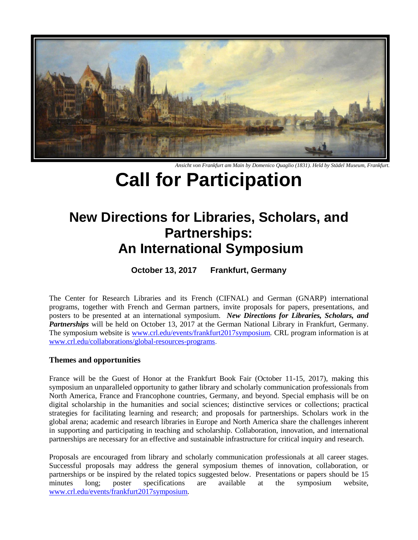

*Ansicht von Frankfurt am Main by Domenico Quaglio (1831). Held by Städel Museum, Frankfurt.*

# **Call for Participation**

# **New Directions for Libraries, Scholars, and Partnerships: An International Symposium**

**October 13, 2017 Frankfurt, Germany**

The Center for Research Libraries and its French (CIFNAL) and German (GNARP) international programs, together with French and German partners, invite proposals for papers, presentations, and posters to be presented at an international symposium. *New Directions for Libraries, Scholars, and Partnerships* will be held on October 13, 2017 at the German National Library in Frankfurt, Germany. The symposium website is [www.crl.edu/events/frankfurt2017symposium](http://www.crl.edu/events/frankfurt2017symposium)*.* CRL program information is at [www.crl.edu/collaborations/global-resources-programs.](http://www.crl.edu/collaborations/global-resources-programs)

## **Themes and opportunities**

France will be the Guest of Honor at the Frankfurt Book Fair (October 11-15, 2017), making this symposium an unparalleled opportunity to gather library and scholarly communication professionals from North America, France and Francophone countries, Germany, and beyond. Special emphasis will be on digital scholarship in the humanities and social sciences; distinctive services or collections; practical strategies for facilitating learning and research; and proposals for partnerships. Scholars work in the global arena; academic and research libraries in Europe and North America share the challenges inherent in supporting and participating in teaching and scholarship. Collaboration, innovation, and international partnerships are necessary for an effective and sustainable infrastructure for critical inquiry and research.

Proposals are encouraged from library and scholarly communication professionals at all career stages. Successful proposals may address the general symposium themes of innovation, collaboration, or partnerships or be inspired by the related topics suggested below. Presentations or papers should be 15 minutes long; poster specifications are available at the symposium website, [www.crl.edu/events/frankfurt2017symposium](http://www.crl.edu/events/frankfurt2017symposium)*.*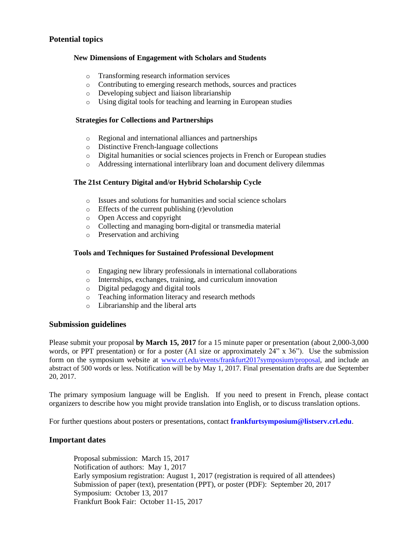### **Potential topics**

#### **New Dimensions of Engagement with Scholars and Students**

- o Transforming research information services
- o Contributing to emerging research methods, sources and practices
- o Developing subject and liaison librarianship
- o Using digital tools for teaching and learning in European studies

#### **Strategies for Collections and Partnerships**

- o Regional and international alliances and partnerships
- o Distinctive French-language collections
- o Digital humanities or social sciences projects in French or European studies
- o Addressing international interlibrary loan and document delivery dilemmas

#### **The 21st Century Digital and/or Hybrid Scholarship Cycle**

- o Issues and solutions for humanities and social science scholars
- o Effects of the current publishing (r)evolution
- o Open Access and copyright
- o Collecting and managing born-digital or transmedia material
- o Preservation and archiving

#### **Tools and Techniques for Sustained Professional Development**

- o Engaging new library professionals in international collaborations
- o Internships, exchanges, training, and curriculum innovation
- o Digital pedagogy and digital tools
- o Teaching information literacy and research methods
- o Librarianship and the liberal arts

#### **Submission guidelines**

Please submit your proposal **by March 15, 2017** for a 15 minute paper or presentation (about 2,000-3,000 words, or PPT presentation) or for a poster (A1 size or approximately 24" x 36"). Use the submission form on the symposium website at [www.crl.edu/events/frankfurt2017symposium/proposal,](https://www.crl.edu/events/frankfurt2017symposium/proposal) and include an abstract of 500 words or less. Notification will be by May 1, 2017. Final presentation drafts are due September 20, 2017.

The primary symposium language will be English. If you need to present in French, please contact organizers to describe how you might provide translation into English, or to discuss translation options.

For further questions about posters or presentations, contact **[frankfurtsymposium@listserv.crl.edu](mailto:frankfurtsymposium@listserv.crl.edu)**.

#### **Important dates**

Proposal submission: March 15, 2017 Notification of authors: May 1, 2017 Early symposium registration: August 1, 2017 (registration is required of all attendees) Submission of paper (text), presentation (PPT), or poster (PDF): September 20, 2017 Symposium: October 13, 2017 Frankfurt Book Fair: October 11-15, 2017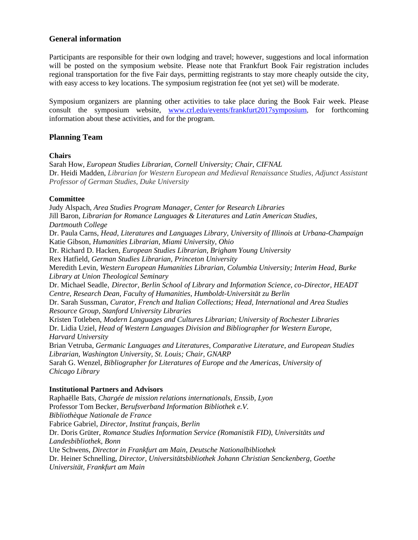#### **General information**

Participants are responsible for their own lodging and travel; however, suggestions and local information will be posted on the symposium website. Please note that Frankfurt Book Fair registration includes regional transportation for the five Fair days, permitting registrants to stay more cheaply outside the city, with easy access to key locations. The symposium registration fee (not yet set) will be moderate.

Symposium organizers are planning other activities to take place during the Book Fair week. Please consult the symposium website, [www.crl.edu/events/frankfurt2017symposium](http://www.crl.edu/events/frankfurt2017symposium), for forthcoming information about these activities, and for the program.

#### **Planning Team**

#### **Chairs**

Sarah How, *European Studies Librarian, Cornell University; Chair, CIFNAL* Dr. Heidi Madden, *Librarian for Western European and Medieval Renaissance Studies, Adjunct Assistant Professor of German Studies, Duke University*

#### **Committee**

Judy Alspach, *Area Studies Program Manager, Center for Research Libraries* Jill Baron, *Librarian for Romance Languages & Literatures and Latin American Studies, Dartmouth College* Dr. Paula Carns, *Head, Literatures and Languages Library, University of Illinois at Urbana-Champaign* Katie Gibson, *Humanities Librarian, Miami University, Ohio* Dr. Richard D. Hacken, *European Studies Librarian, Brigham Young University* Rex Hatfield, *German Studies Librarian, Princeton University* Meredith Levin, *Western European Humanities Librarian, Columbia University; Interim Head, Burke Library at Union Theological Seminary* Dr. Michael Seadle, *Director, Berlin School of Library and Information Science, co-Director, HEADT Centre, Research Dean, Faculty of Humanities, Humboldt-Universität zu Berlin* Dr. Sarah Sussman, *Curator, French and Italian Collections; Head, International and Area Studies Resource Group, Stanford University Libraries* Kristen Totleben, *Modern Languages and Cultures Librarian; University of Rochester Libraries* Dr. Lidia Uziel, *Head of Western Languages Division and Bibliographer for Western Europe, Harvard University* Brian Vetruba, *Germanic Languages and Literatures, Comparative Literature, and European Studies Librarian, Washington University, St. Louis; Chair, GNARP* Sarah G. Wenzel, *Bibliographer for Literatures of Europe and the Americas, University of Chicago Library*

#### **Institutional Partners and Advisors**

Raphaëlle Bats, *Chargée de mission relations internationals, Enssib, Lyon* Professor Tom Becker*, Berufsverband Information Bibliothek e.V. Bibliothèque Nationale de France* Fabrice Gabriel, *Director, Institut français, Berlin* Dr. Doris Grüter, *Romance Studies Information Service (Romanistik FID), Universitäts und Landesbibliothek, Bonn*  Ute Schwens, *Director in Frankfurt am Main, Deutsche Nationalbibliothek* Dr. Heiner Schnelling, *Director, Universitätsbibliothek Johann Christian Senckenberg, Goethe Universität, Frankfurt am Main*